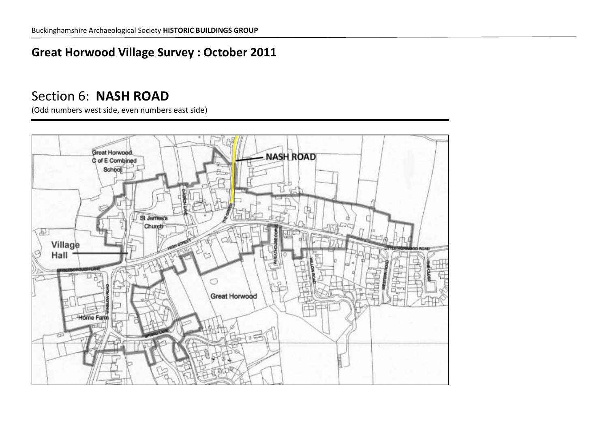## **Great Horwood Village Survey : October 2011**

## Section 6: **NASH ROAD**

(Odd numbers west side, even numbers east side)

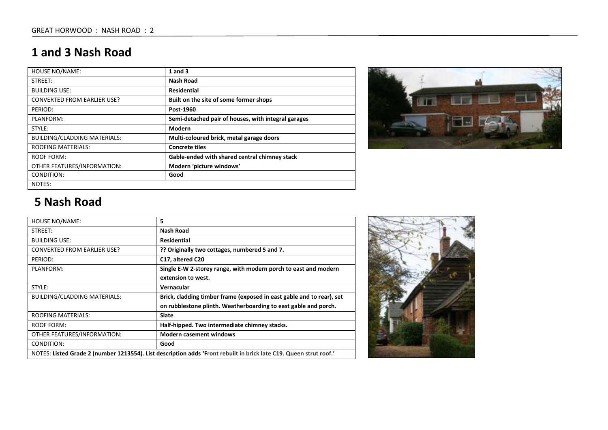## **1 and 3 Nash Road**

| <b>HOUSE NO/NAME:</b>               | $1$ and $3$                                         |
|-------------------------------------|-----------------------------------------------------|
| STREET:                             | <b>Nash Road</b>                                    |
| <b>BUILDING USE:</b>                | <b>Residential</b>                                  |
| <b>CONVERTED FROM EARLIER USE?</b>  | Built on the site of some former shops              |
| PERIOD:                             | Post-1960                                           |
| PLANFORM:                           | Semi-detached pair of houses, with integral garages |
| STYLE:                              | Modern                                              |
| <b>BUILDING/CLADDING MATERIALS:</b> | Multi-coloured brick, metal garage doors            |
| <b>ROOFING MATERIALS:</b>           | <b>Concrete tiles</b>                               |
| ROOF FORM:                          | Gable-ended with shared central chimney stack       |
| OTHER FEATURES/INFORMATION:         | Modern 'picture windows'                            |
| CONDITION:                          | Good                                                |
| NOTES:                              |                                                     |



# **5 Nash Road**

| HOUSE NO/NAME:                                                                                                     | 5                                                                     |
|--------------------------------------------------------------------------------------------------------------------|-----------------------------------------------------------------------|
| STREET:                                                                                                            | Nash Road                                                             |
| <b>BUILDING USE:</b>                                                                                               | Residential                                                           |
| <b>CONVERTED FROM EARLIER USE?</b>                                                                                 | ?? Originally two cottages, numbered 5 and 7.                         |
| PERIOD:                                                                                                            | C17, altered C20                                                      |
| PLANFORM:                                                                                                          | Single E-W 2-storey range, with modern porch to east and modern       |
|                                                                                                                    | extension to west.                                                    |
| STYLE:                                                                                                             | Vernacular                                                            |
| BUILDING/CLADDING MATERIALS:                                                                                       | Brick, cladding timber frame (exposed in east gable and to rear), set |
|                                                                                                                    | on rubblestone plinth. Weatherboarding to east gable and porch.       |
| <b>ROOFING MATERIALS:</b>                                                                                          | <b>Slate</b>                                                          |
| ROOF FORM:                                                                                                         | Half-hipped. Two intermediate chimney stacks.                         |
| OTHER FEATURES/INFORMATION:                                                                                        | <b>Modern casement windows</b>                                        |
| CONDITION:                                                                                                         | Good                                                                  |
| NOTES: Listed Grade 2 (number 1213554). List description adds 'Front rebuilt in brick late C19. Queen strut roof.' |                                                                       |

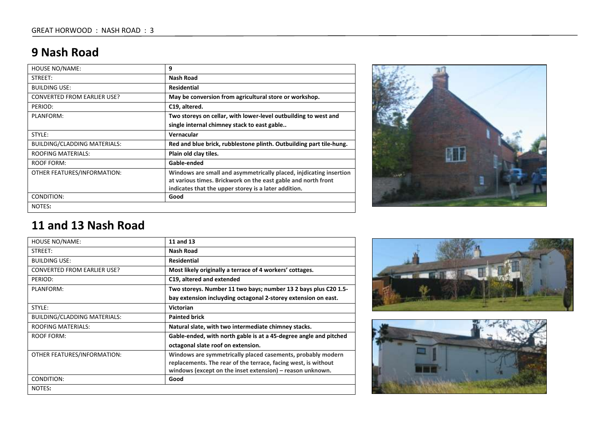## **9 Nash Road**

| HOUSE NO/NAME:                     | 9                                                                                                                     |
|------------------------------------|-----------------------------------------------------------------------------------------------------------------------|
| STREET:                            | Nash Road                                                                                                             |
| <b>BUILDING USE:</b>               | <b>Residential</b>                                                                                                    |
| <b>CONVERTED FROM EARLIER USE?</b> | May be conversion from agricultural store or workshop.                                                                |
| PERIOD:                            | C19, altered.                                                                                                         |
| PLANFORM:                          | Two storeys on cellar, with lower-level outbuilding to west and                                                       |
|                                    | single internal chimney stack to east gable                                                                           |
| STYLE:                             | Vernacular                                                                                                            |
| BUILDING/CLADDING MATERIALS:       | Red and blue brick, rubblestone plinth. Outbuilding part tile-hung.                                                   |
| <b>ROOFING MATERIALS:</b>          | Plain old clay tiles.                                                                                                 |
| <b>ROOF FORM:</b>                  | Gable-ended                                                                                                           |
| OTHER FEATURES/INFORMATION:        | Windows are small and asymmetrically placed, injdicating insertion                                                    |
|                                    | at various times. Brickwork on the east gable and north front<br>indicates that the upper storey is a later addition. |
|                                    |                                                                                                                       |
| CONDITION:                         | Good                                                                                                                  |
| NOTES:                             |                                                                                                                       |



#### **11 and 13 Nash Road**

| HOUSE NO/NAME:                      | 11 and 13                                                         |
|-------------------------------------|-------------------------------------------------------------------|
| STREET:                             | <b>Nash Road</b>                                                  |
| <b>BUILDING USE:</b>                | <b>Residential</b>                                                |
| <b>CONVERTED FROM EARLIER USE?</b>  | Most likely originally a terrace of 4 workers' cottages.          |
| PERIOD:                             | C <sub>19</sub> , altered and extended                            |
| PLANFORM:                           | Two storeys. Number 11 two bays; number 13 2 bays plus C20 1.5-   |
|                                     | bay extension incluyding octagonal 2-storey extension on east.    |
| STYLE:                              | <b>Victorian</b>                                                  |
| <b>BUILDING/CLADDING MATERIALS:</b> | <b>Painted brick</b>                                              |
| <b>ROOFING MATERIALS:</b>           | Natural slate, with two intermediate chimney stacks.              |
| <b>ROOF FORM:</b>                   | Gable-ended, with north gable is at a 45-degree angle and pitched |
|                                     | octagonal slate roof on extension.                                |
| OTHER FEATURES/INFORMATION:         | Windows are symmetrically placed casements, probably modern       |
|                                     | replacements. The rear of the terrace, facing west, is without    |
|                                     | windows (except on the inset extension) – reason unknown.         |
| CONDITION:                          | Good                                                              |
| NOTES:                              |                                                                   |



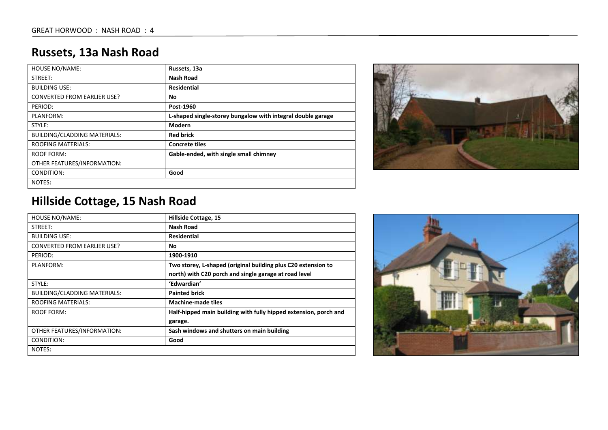# **Russets, 13a Nash Road**

| <b>HOUSE NO/NAME:</b>               | Russets, 13a                                                |
|-------------------------------------|-------------------------------------------------------------|
| STREET:                             | <b>Nash Road</b>                                            |
| <b>BUILDING USE:</b>                | <b>Residential</b>                                          |
| <b>CONVERTED FROM EARLIER USE?</b>  | No                                                          |
| PERIOD:                             | Post-1960                                                   |
| PLANFORM:                           | L-shaped single-storey bungalow with integral double garage |
| STYLE:                              | Modern                                                      |
| <b>BUILDING/CLADDING MATERIALS:</b> | <b>Red brick</b>                                            |
| <b>ROOFING MATERIALS:</b>           | <b>Concrete tiles</b>                                       |
| <b>ROOF FORM:</b>                   | Gable-ended, with single small chimney                      |
| OTHER FEATURES/INFORMATION:         |                                                             |
| CONDITION:                          | Good                                                        |
| NOTES:                              |                                                             |



# **Hillside Cottage, 15 Nash Road**

| <b>HOUSE NO/NAME:</b>               | Hillside Cottage, 15                                             |
|-------------------------------------|------------------------------------------------------------------|
| STREET:                             | <b>Nash Road</b>                                                 |
| <b>BUILDING USE:</b>                | <b>Residential</b>                                               |
| <b>CONVERTED FROM EARLIER USE?</b>  | No                                                               |
| PERIOD:                             | 1900-1910                                                        |
| PLANFORM:                           | Two storey, L-shaped (original building plus C20 extension to    |
|                                     | north) with C20 porch and single garage at road level            |
| STYLE:                              | 'Edwardian'                                                      |
| <b>BUILDING/CLADDING MATERIALS:</b> | <b>Painted brick</b>                                             |
| <b>ROOFING MATERIALS:</b>           | <b>Machine-made tiles</b>                                        |
| <b>ROOF FORM:</b>                   | Half-hipped main building with fully hipped extension, porch and |
|                                     | garage.                                                          |
| OTHER FEATURES/INFORMATION:         | Sash windows and shutters on main building                       |
| CONDITION:                          | Good                                                             |
| NOTES:                              |                                                                  |

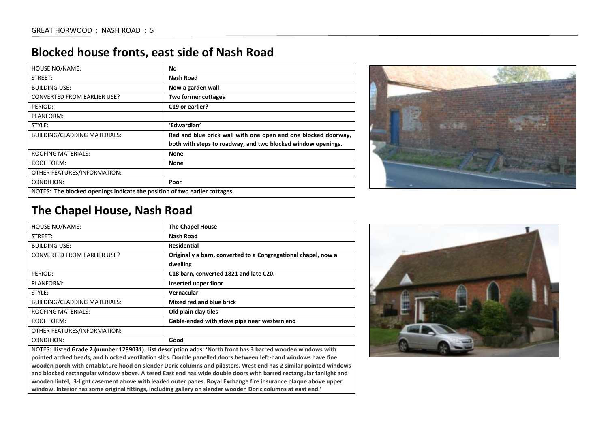#### **Blocked house fronts, east side of Nash Road**

| <b>HOUSE NO/NAME:</b>                                                      | No.                                                            |
|----------------------------------------------------------------------------|----------------------------------------------------------------|
| STREET:                                                                    | Nash Road                                                      |
| <b>BUILDING USE:</b>                                                       | Now a garden wall                                              |
| <b>CONVERTED FROM EARLIER USE?</b>                                         | <b>Two former cottages</b>                                     |
| PERIOD:                                                                    | C <sub>19</sub> or earlier?                                    |
| PLANFORM:                                                                  |                                                                |
| STYLE:                                                                     | 'Edwardian'                                                    |
| <b>BUILDING/CLADDING MATERIALS:</b>                                        | Red and blue brick wall with one open and one blocked doorway, |
|                                                                            | both with steps to roadway, and two blocked window openings.   |
| <b>ROOFING MATERIALS:</b>                                                  | <b>None</b>                                                    |
| ROOF FORM:                                                                 | <b>None</b>                                                    |
| OTHER FEATURES/INFORMATION:                                                |                                                                |
| CONDITION:                                                                 | Poor                                                           |
| NOTES: The blocked openings indicate the position of two earlier cottages. |                                                                |



#### **The Chapel House, Nash Road**

| <b>HOUSE NO/NAME:</b>               | <b>The Chapel House</b>                                                                                                                                                                                                                                                                                                                                  |
|-------------------------------------|----------------------------------------------------------------------------------------------------------------------------------------------------------------------------------------------------------------------------------------------------------------------------------------------------------------------------------------------------------|
| STREET:                             | Nash Road                                                                                                                                                                                                                                                                                                                                                |
| <b>BUILDING USE:</b>                | <b>Residential</b>                                                                                                                                                                                                                                                                                                                                       |
| <b>CONVERTED FROM EARLIER USE?</b>  | Originally a barn, converted to a Congregational chapel, now a                                                                                                                                                                                                                                                                                           |
|                                     | dwelling                                                                                                                                                                                                                                                                                                                                                 |
| PERIOD:                             | C18 barn, converted 1821 and late C20.                                                                                                                                                                                                                                                                                                                   |
| PLANFORM:                           | Inserted upper floor                                                                                                                                                                                                                                                                                                                                     |
| STYLE:                              | Vernacular                                                                                                                                                                                                                                                                                                                                               |
| <b>BUILDING/CLADDING MATERIALS:</b> | Mixed red and blue brick                                                                                                                                                                                                                                                                                                                                 |
| <b>ROOFING MATERIALS:</b>           | Old plain clay tiles                                                                                                                                                                                                                                                                                                                                     |
| ROOF FORM:                          | Gable-ended with stove pipe near western end                                                                                                                                                                                                                                                                                                             |
| OTHER FEATURES/INFORMATION:         |                                                                                                                                                                                                                                                                                                                                                          |
| CONDITION:                          | Good                                                                                                                                                                                                                                                                                                                                                     |
|                                     | $\mathbf{1} \cup \mathbf{1}$ , and $\mathbf{1} \cup \mathbf{1}$ and $\mathbf{1} \cup \mathbf{1}$ , $\mathbf{1} \cup \mathbf{1}$ , $\mathbf{1} \cup \mathbf{1}$ , $\mathbf{1} \cup \mathbf{1}$ , $\mathbf{1} \cup \mathbf{1}$ , $\mathbf{1} \cup \mathbf{1}$ , $\mathbf{1} \cup \mathbf{1}$ , $\mathbf{1} \cup \mathbf{1}$ , $\mathbf{1} \cup \mathbf{1}$ |

NOTES**: Listed Grade 2 (number 1289031). List description adds: 'North front has 3 barred wooden windows with pointed arched heads, and blocked ventilation slits. Double panelled doors between left-hand windows have fine wooden porch with entablature hood on slender Doric columns and pilasters. West end has 2 similar pointed windows and blocked rectangular window above. Altered East end has wide double doors with barred rectangular fanlight and wooden lintel, 3-light casement above with leaded outer panes. Royal Exchange fire insurance plaque above upper window. Interior has some original fittings, including gallery on slender wooden Doric columns at east end.'**